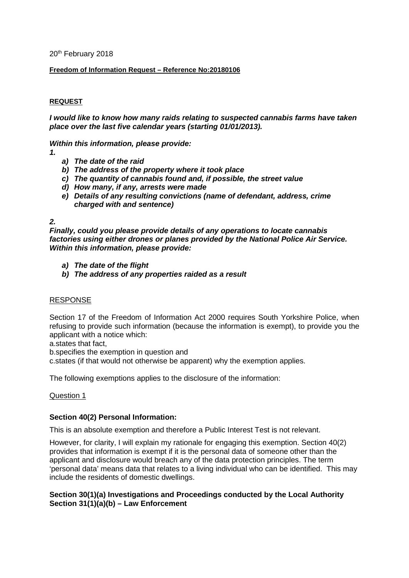20<sup>th</sup> February 2018

### **Freedom of Information Request – Reference No:20180106**

### **REQUEST**

*I would like to know how many raids relating to suspected cannabis farms have taken place over the last five calendar years (starting 01/01/2013).*

*Within this information, please provide:*

- *1.*
- *a) The date of the raid*
- *b) The address of the property where it took place*
- *c) The quantity of cannabis found and, if possible, the street value*
- *d) How many, if any, arrests were made*
- *e) Details of any resulting convictions (name of defendant, address, crime charged with and sentence)*

### *2.*

*Finally, could you please provide details of any operations to locate cannabis factories using either drones or planes provided by the National Police Air Service. Within this information, please provide:*

- *a) The date of the flight*
- *b) The address of any properties raided as a result*

#### RESPONSE

Section 17 of the Freedom of Information Act 2000 requires South Yorkshire Police, when refusing to provide such information (because the information is exempt), to provide you the applicant with a notice which:

a.states that fact,

b.specifies the exemption in question and

c.states (if that would not otherwise be apparent) why the exemption applies.

The following exemptions applies to the disclosure of the information:

#### Question 1

#### **Section 40(2) Personal Information:**

This is an absolute exemption and therefore a Public Interest Test is not relevant.

However, for clarity, I will explain my rationale for engaging this exemption. Section 40(2) provides that information is exempt if it is the personal data of someone other than the applicant and disclosure would breach any of the data protection principles. The term 'personal data' means data that relates to a living individual who can be identified. This may include the residents of domestic dwellings.

## **Section 30(1)(a) Investigations and Proceedings conducted by the Local Authority Section 31(1)(a)(b) – Law Enforcement**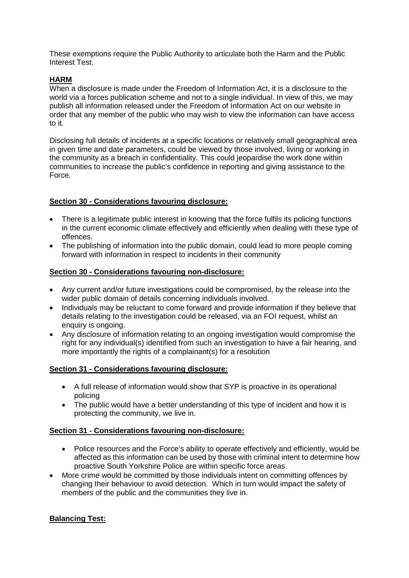These exemptions require the Public Authority to articulate both the Harm and the Public Interest Test.

# **HARM**

When a disclosure is made under the Freedom of Information Act, it is a disclosure to the world via a forces publication scheme and not to a single individual. In view of this, we may publish all information released under the Freedom of Information Act on our website in order that any member of the public who may wish to view the information can have access to it.

Disclosing full details of incidents at a specific locations or relatively small geographical area in given time and date parameters, could be viewed by those involved, living or working in the community as a breach in confidentiality. This could jeopardise the work done within communities to increase the public's confidence in reporting and giving assistance to the Force.

# **Section 30 - Considerations favouring disclosure:**

- There is a legitimate public interest in knowing that the force fulfils its policing functions in the current economic climate effectively and efficiently when dealing with these type of offences.
- The publishing of information into the public domain, could lead to more people coming forward with information in respect to incidents in their community

## **Section 30 - Considerations favouring non-disclosure:**

- Any current and/or future investigations could be compromised, by the release into the wider public domain of details concerning individuals involved.
- Individuals may be reluctant to come forward and provide information if they believe that details relating to the investigation could be released, via an FOI request, whilst an enquiry is ongoing.
- Any disclosure of information relating to an ongoing investigation would compromise the right for any individual(s) identified from such an investigation to have a fair hearing, and more importantly the rights of a complainant(s) for a resolution

## **Section 31 - Considerations favouring disclosure:**

- A full release of information would show that SYP is proactive in its operational policing
- The public would have a better understanding of this type of incident and how it is protecting the community, we live in.

## **Section 31 - Considerations favouring non-disclosure:**

- Police resources and the Force's ability to operate effectively and efficiently, would be affected as this information can be used by those with criminal intent to determine how proactive South Yorkshire Police are within specific force areas.
- More crime would be committed by those individuals intent on committing offences by changing their behaviour to avoid detection. Which in turn would impact the safety of members of the public and the communities they live in.

## **Balancing Test:**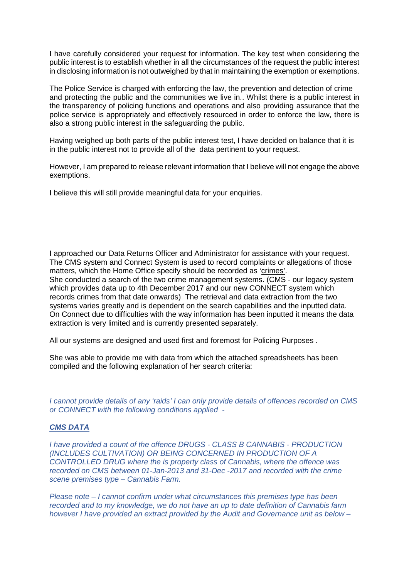I have carefully considered your request for information. The key test when considering the public interest is to establish whether in all the circumstances of the request the public interest in disclosing information is not outweighed by that in maintaining the exemption or exemptions.

The Police Service is charged with enforcing the law, the prevention and detection of crime and protecting the public and the communities we live in.. Whilst there is a public interest in the transparency of policing functions and operations and also providing assurance that the police service is appropriately and effectively resourced in order to enforce the law, there is also a strong public interest in the safeguarding the public.

Having weighed up both parts of the public interest test, I have decided on balance that it is in the public interest not to provide all of the data pertinent to your request.

However, I am prepared to release relevant information that I believe will not engage the above exemptions.

I believe this will still provide meaningful data for your enquiries.

I approached our Data Returns Officer and Administrator for assistance with your request. The CMS system and Connect System is used to record complaints or allegations of those matters, which the Home Office specify should be recorded as 'crimes'. She conducted a search of the two crime management systems. (CMS - our legacy system which provides data up to 4th December 2017 and our new CONNECT system which records crimes from that date onwards) The retrieval and data extraction from the two systems varies greatly and is dependent on the search capabilities and the inputted data. On Connect due to difficulties with the way information has been inputted it means the data extraction is very limited and is currently presented separately.

All our systems are designed and used first and foremost for Policing Purposes .

She was able to provide me with data from which the attached spreadsheets has been compiled and the following explanation of her search criteria:

*I cannot provide details of any 'raids' I can only provide details of offences recorded on CMS or CONNECT with the following conditions applied -*

## *CMS DATA*

*I have provided a count of the offence DRUGS - CLASS B CANNABIS - PRODUCTION (INCLUDES CULTIVATION) OR BEING CONCERNED IN PRODUCTION OF A CONTROLLED DRUG where the is property class of Cannabis, where the offence was recorded on CMS between 01-Jan-2013 and 31-Dec -2017 and recorded with the crime scene premises type – Cannabis Farm.*

*Please note – I cannot confirm under what circumstances this premises type has been recorded and to my knowledge, we do not have an up to date definition of Cannabis farm however I have provided an extract provided by the Audit and Governance unit as below –*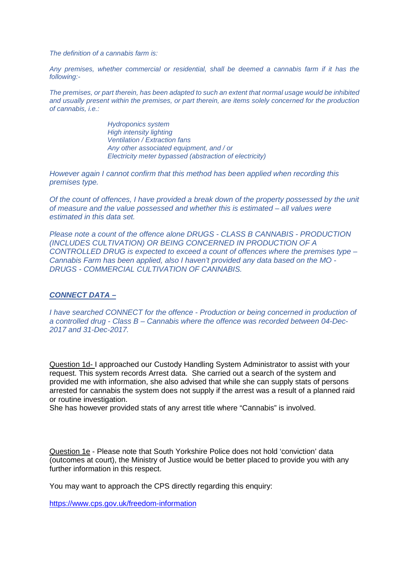*The definition of a cannabis farm is:*

*Any premises, whether commercial or residential, shall be deemed a cannabis farm if it has the following:-*

*The premises, or part therein, has been adapted to such an extent that normal usage would be inhibited and usually present within the premises, or part therein, are items solely concerned for the production of cannabis, i.e.:*

> *Hydroponics system High intensity lighting Ventilation / Extraction fans Any other associated equipment, and / or Electricity meter bypassed (abstraction of electricity)*

*However again I cannot confirm that this method has been applied when recording this premises type.*

*Of the count of offences, I have provided a break down of the property possessed by the unit of measure and the value possessed and whether this is estimated – all values were estimated in this data set.*

*Please note a count of the offence alone DRUGS - CLASS B CANNABIS - PRODUCTION (INCLUDES CULTIVATION) OR BEING CONCERNED IN PRODUCTION OF A CONTROLLED DRUG is expected to exceed a count of offences where the premises type – Cannabis Farm has been applied, also I haven't provided any data based on the MO - DRUGS - COMMERCIAL CULTIVATION OF CANNABIS.*

#### *CONNECT DATA –*

*I have searched CONNECT for the offence - Production or being concerned in production of a controlled drug - Class B – Cannabis where the offence was recorded between 04-Dec-2017 and 31-Dec-2017.* 

Question 1d- I approached our Custody Handling System Administrator to assist with your request. This system records Arrest data. She carried out a search of the system and provided me with information, she also advised that while she can supply stats of persons arrested for cannabis the system does not supply if the arrest was a result of a planned raid or routine investigation.

She has however provided stats of any arrest title where "Cannabis" is involved.

Question 1e - Please note that South Yorkshire Police does not hold 'conviction' data (outcomes at court), the Ministry of Justice would be better placed to provide you with any further information in this respect.

You may want to approach the CPS directly regarding this enquiry:

<https://www.cps.gov.uk/freedom-information>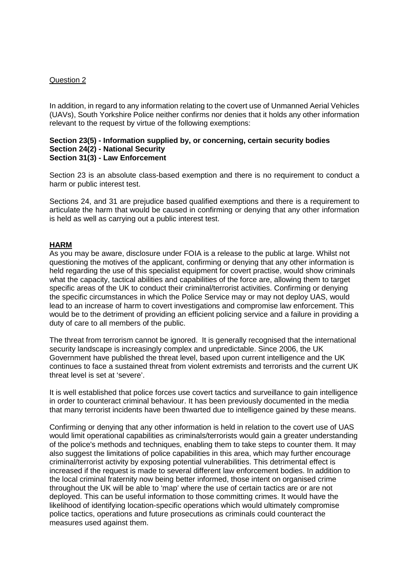### Question 2

In addition, in regard to any information relating to the covert use of Unmanned Aerial Vehicles (UAVs), South Yorkshire Police neither confirms nor denies that it holds any other information relevant to the request by virtue of the following exemptions:

#### **Section 23(5) - Information supplied by, or concerning, certain security bodies Section 24(2) - National Security Section 31(3) - Law Enforcement**

Section 23 is an absolute class-based exemption and there is no requirement to conduct a harm or public interest test.

Sections 24, and 31 are prejudice based qualified exemptions and there is a requirement to articulate the harm that would be caused in confirming or denying that any other information is held as well as carrying out a public interest test.

## **HARM**

As you may be aware, disclosure under FOIA is a release to the public at large. Whilst not questioning the motives of the applicant, confirming or denying that any other information is held regarding the use of this specialist equipment for covert practise, would show criminals what the capacity, tactical abilities and capabilities of the force are, allowing them to target specific areas of the UK to conduct their criminal/terrorist activities. Confirming or denying the specific circumstances in which the Police Service may or may not deploy UAS, would lead to an increase of harm to covert investigations and compromise law enforcement. This would be to the detriment of providing an efficient policing service and a failure in providing a duty of care to all members of the public.

The threat from terrorism cannot be ignored. It is generally recognised that the international security landscape is increasingly complex and unpredictable. Since 2006, the UK Government have published the threat level, based upon current intelligence and the UK continues to face a sustained threat from violent extremists and terrorists and the current UK threat level is set at 'severe'.

It is well established that police forces use covert tactics and surveillance to gain intelligence in order to counteract criminal behaviour. It has been previously documented in the media that many terrorist incidents have been thwarted due to intelligence gained by these means.

Confirming or denying that any other information is held in relation to the covert use of UAS would limit operational capabilities as criminals/terrorists would gain a greater understanding of the police's methods and techniques, enabling them to take steps to counter them. It may also suggest the limitations of police capabilities in this area, which may further encourage criminal/terrorist activity by exposing potential vulnerabilities. This detrimental effect is increased if the request is made to several different law enforcement bodies. In addition to the local criminal fraternity now being better informed, those intent on organised crime throughout the UK will be able to 'map' where the use of certain tactics are or are not deployed. This can be useful information to those committing crimes. It would have the likelihood of identifying location-specific operations which would ultimately compromise police tactics, operations and future prosecutions as criminals could counteract the measures used against them.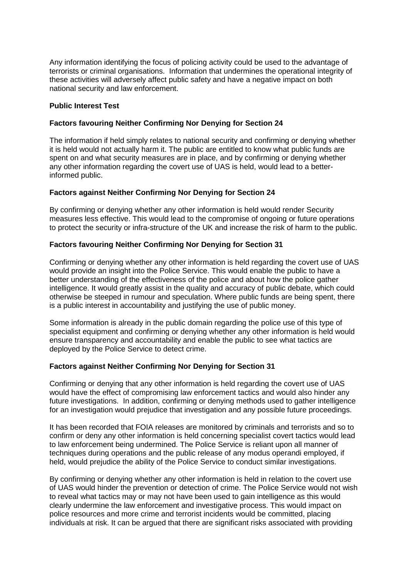Any information identifying the focus of policing activity could be used to the advantage of terrorists or criminal organisations. Information that undermines the operational integrity of these activities will adversely affect public safety and have a negative impact on both national security and law enforcement.

### **Public Interest Test**

### **Factors favouring Neither Confirming Nor Denying for Section 24**

The information if held simply relates to national security and confirming or denying whether it is held would not actually harm it. The public are entitled to know what public funds are spent on and what security measures are in place, and by confirming or denying whether any other information regarding the covert use of UAS is held, would lead to a betterinformed public.

### **Factors against Neither Confirming Nor Denying for Section 24**

By confirming or denying whether any other information is held would render Security measures less effective. This would lead to the compromise of ongoing or future operations to protect the security or infra-structure of the UK and increase the risk of harm to the public.

### **Factors favouring Neither Confirming Nor Denying for Section 31**

Confirming or denying whether any other information is held regarding the covert use of UAS would provide an insight into the Police Service. This would enable the public to have a better understanding of the effectiveness of the police and about how the police gather intelligence. It would greatly assist in the quality and accuracy of public debate, which could otherwise be steeped in rumour and speculation. Where public funds are being spent, there is a public interest in accountability and justifying the use of public money.

Some information is already in the public domain regarding the police use of this type of specialist equipment and confirming or denying whether any other information is held would ensure transparency and accountability and enable the public to see what tactics are deployed by the Police Service to detect crime.

#### **Factors against Neither Confirming Nor Denying for Section 31**

Confirming or denying that any other information is held regarding the covert use of UAS would have the effect of compromising law enforcement tactics and would also hinder any future investigations. In addition, confirming or denying methods used to gather intelligence for an investigation would prejudice that investigation and any possible future proceedings.

It has been recorded that FOIA releases are monitored by criminals and terrorists and so to confirm or deny any other information is held concerning specialist covert tactics would lead to law enforcement being undermined. The Police Service is reliant upon all manner of techniques during operations and the public release of any modus operandi employed, if held, would prejudice the ability of the Police Service to conduct similar investigations.

By confirming or denying whether any other information is held in relation to the covert use of UAS would hinder the prevention or detection of crime. The Police Service would not wish to reveal what tactics may or may not have been used to gain intelligence as this would clearly undermine the law enforcement and investigative process. This would impact on police resources and more crime and terrorist incidents would be committed, placing individuals at risk. It can be argued that there are significant risks associated with providing